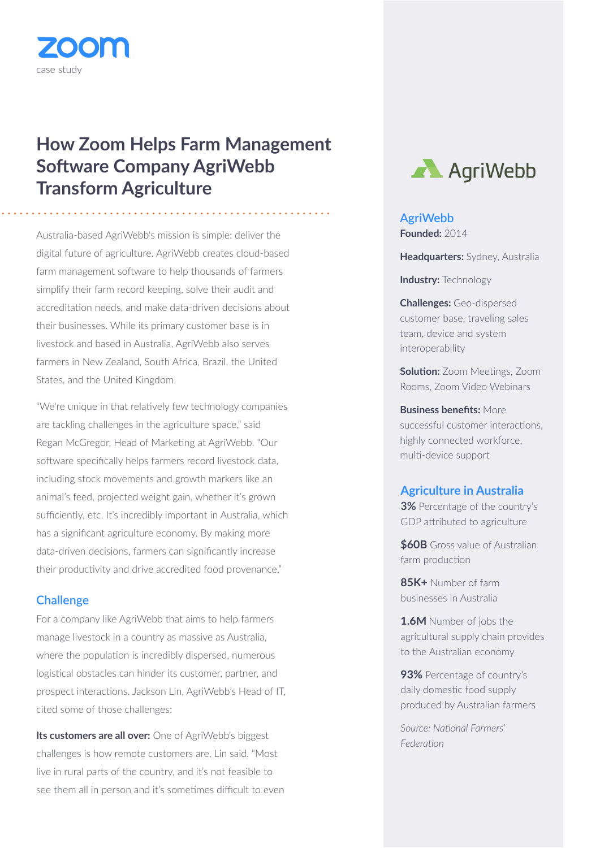

# **How Zoom Helps Farm Management Software Company AgriWebb Transform Agriculture**

Australia-based AgriWebb's mission is simple: deliver the digital future of agriculture. AgriWebb creates cloud-based farm management software to help thousands of farmers simplify their farm record keeping, solve their audit and accreditation needs, and make data-driven decisions about their businesses. While its primary customer base is in livestock and based in Australia, AgriWebb also serves farmers in New Zealand, South Africa, Brazil, the United States, and the United Kingdom.

"We're unique in that relatively few technology companies are tackling challenges in the agriculture space," said Regan McGregor, Head of Marketing at AgriWebb. "Our software specifically helps farmers record livestock data, including stock movements and growth markers like an animal's feed, projected weight gain, whether it's grown sufficiently, etc. It's incredibly important in Australia, which has a significant agriculture economy. By making more data-driven decisions, farmers can significantly increase their productivity and drive accredited food provenance."

# **Challenge**

For a company like AgriWebb that aims to help farmers manage livestock in a country as massive as Australia, where the population is incredibly dispersed, numerous logistical obstacles can hinder its customer, partner, and prospect interactions. Jackson Lin, AgriWebb's Head of IT, cited some of those challenges:

**Its customers are all over:** One of AgriWebb's biggest challenges is how remote customers are, Lin said. "Most live in rural parts of the country, and it's not feasible to see them all in person and it's sometimes difficult to even



# **AgriWebb**

**Founded:** 2014

**Headquarters:** Sydney, Australia

**Industry:** Technology

**Challenges:** Geo-dispersed customer base, traveling sales team, device and system interoperability

**Solution:** Zoom Meetings, Zoom Rooms, Zoom Video Webinars

**Business benefits:** More successful customer interactions, highly connected workforce, multi-device support

#### **Agriculture in Australia**

**3%** Percentage of the country's GDP attributed to agriculture

**\$60B** Gross value of Australian farm production

**85K+** Number of farm businesses in Australia

**1.6M** Number of jobs the agricultural supply chain provides to the Australian economy

**93%** Percentage of country's daily domestic food supply produced by Australian farmers

*Source: National Farmers' Federation*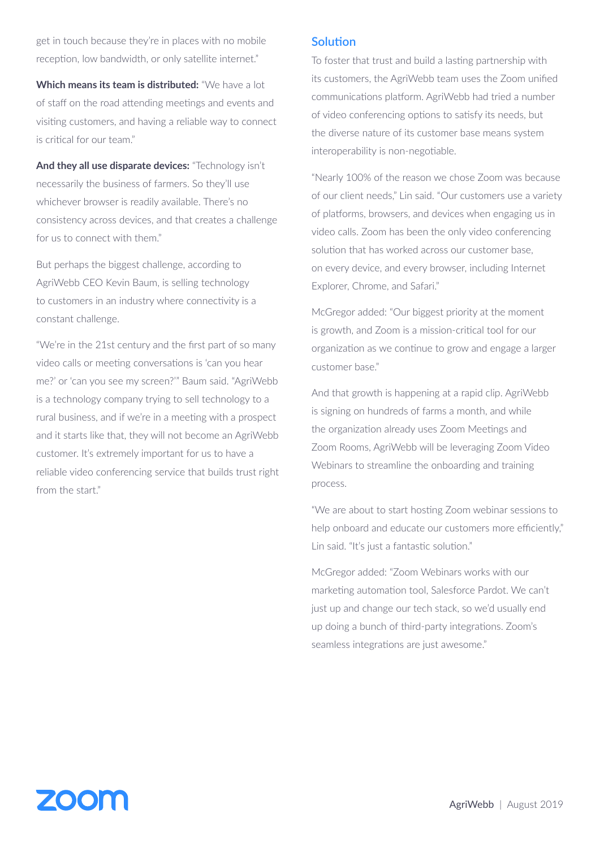get in touch because they're in places with no mobile reception, low bandwidth, or only satellite internet."

**Which means its team is distributed:** "We have a lot of staff on the road attending meetings and events and visiting customers, and having a reliable way to connect is critical for our team."

**And they all use disparate devices:** "Technology isn't necessarily the business of farmers. So they'll use whichever browser is readily available. There's no consistency across devices, and that creates a challenge for us to connect with them."

But perhaps the biggest challenge, according to AgriWebb CEO Kevin Baum, is selling technology to customers in an industry where connectivity is a constant challenge.

"We're in the 21st century and the first part of so many video calls or meeting conversations is 'can you hear me?' or 'can you see my screen?'" Baum said. "AgriWebb is a technology company trying to sell technology to a rural business, and if we're in a meeting with a prospect and it starts like that, they will not become an AgriWebb customer. It's extremely important for us to have a reliable video conferencing service that builds trust right from the start."

# **Solution**

To foster that trust and build a lasting partnership with its customers, the AgriWebb team uses the Zoom unified communications platform. AgriWebb had tried a number of video conferencing options to satisfy its needs, but the diverse nature of its customer base means system interoperability is non-negotiable.

"Nearly 100% of the reason we chose Zoom was because of our client needs," Lin said. "Our customers use a variety of platforms, browsers, and devices when engaging us in video calls. Zoom has been the only video conferencing solution that has worked across our customer base, on every device, and every browser, including Internet Explorer, Chrome, and Safari."

McGregor added: "Our biggest priority at the moment is growth, and Zoom is a mission-critical tool for our organization as we continue to grow and engage a larger customer base."

And that growth is happening at a rapid clip. AgriWebb is signing on hundreds of farms a month, and while the organization already uses Zoom Meetings and Zoom Rooms, AgriWebb will be leveraging Zoom Video Webinars to streamline the onboarding and training process.

"We are about to start hosting Zoom webinar sessions to help onboard and educate our customers more efficiently," Lin said. "It's just a fantastic solution."

McGregor added: "Zoom Webinars works with our marketing automation tool, Salesforce Pardot. We can't just up and change our tech stack, so we'd usually end up doing a bunch of third-party integrations. Zoom's seamless integrations are just awesome."